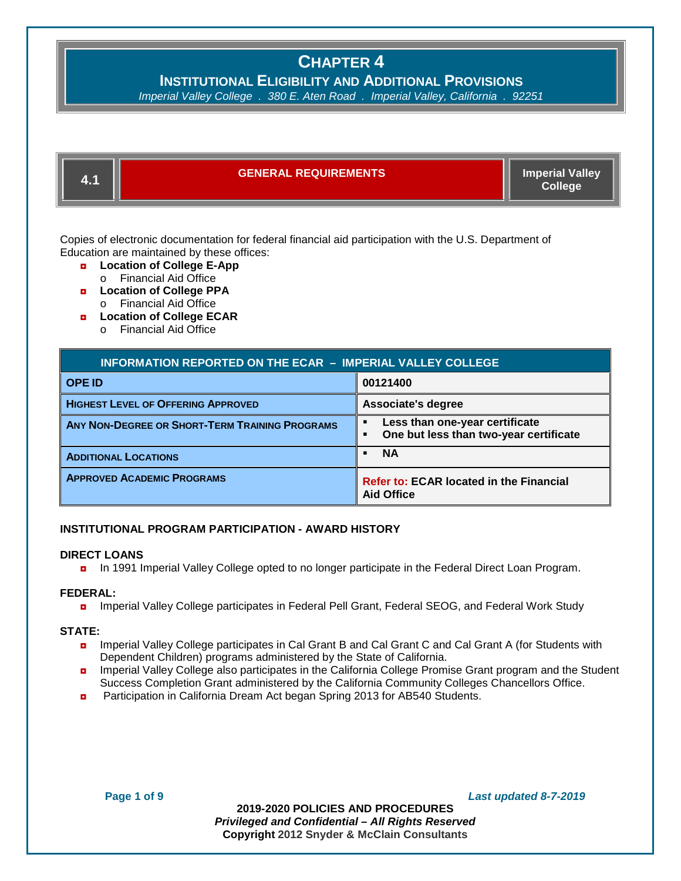# **INSTITUTIONAL ELIGIBILITY AND ADDITIONAL PROVISIONS**

*Imperial Valley College . 380 E. Aten Road . Imperial Valley, California .* 



Copies of electronic documentation for federal financial aid participation with the U.S. Department of Education are maintained by these offices:

- ◘ **Location of College E-App**  o Financial Aid Office
- ◘ **Location of College PPA**
- o Financial Aid Office
- ◘ **Location of College ECAR** 
	- o Financial Aid Office

| <b>INFORMATION REPORTED ON THE ECAR - IMPERIAL VALLEY COLLEGE</b> |                                                                          |  |
|-------------------------------------------------------------------|--------------------------------------------------------------------------|--|
| <b>OPE ID</b>                                                     | 00121400                                                                 |  |
| <b>HIGHEST LEVEL OF OFFERING APPROVED</b>                         | Associate's degree                                                       |  |
| ANY NON-DEGREE OR SHORT-TERM TRAINING PROGRAMS                    | Less than one-year certificate<br>One but less than two-year certificate |  |
| <b>ADDITIONAL LOCATIONS</b>                                       | <b>NA</b>                                                                |  |
| <b>APPROVED ACADEMIC PROGRAMS</b>                                 | <b>Refer to: ECAR located in the Financial</b><br><b>Aid Office</b>      |  |

### **INSTITUTIONAL PROGRAM PARTICIPATION - AWARD HISTORY**

### **DIRECT LOANS**

◘ In 1991 Imperial Valley College opted to no longer participate in the Federal Direct Loan Program.

### **FEDERAL:**

■ Imperial Valley College participates in Federal Pell Grant, Federal SEOG, and Federal Work Study

### **STATE:**

- ◘ Imperial Valley College participates in Cal Grant B and Cal Grant C and Cal Grant A (for Students with Dependent Children) programs administered by the State of California.
- **n** Imperial Valley College also participates in the California College Promise Grant program and the Student Success Completion Grant administered by the California Community Colleges Chancellors Office.
- **D** Participation in California Dream Act began Spring 2013 for AB540 Students.

**Page 1 of 9** *Last updated 8-7-2019*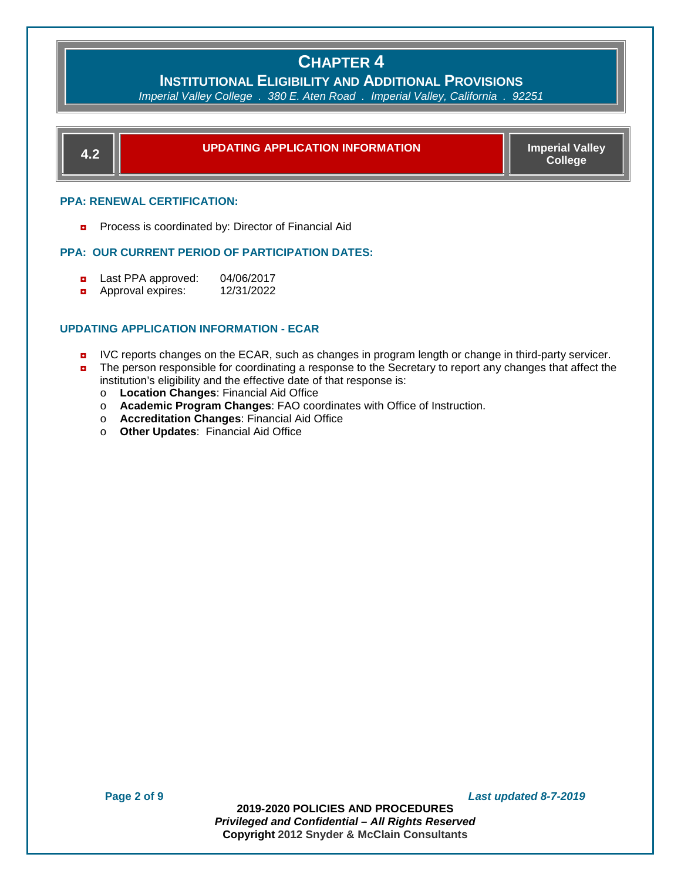# **INSTITUTIONAL ELIGIBILITY AND ADDITIONAL PROVISIONS**

*Imperial Valley College . 380 E. Aten Road . Imperial Valley, California .* 



### **PPA: RENEWAL CERTIFICATION:**

**Process is coordinated by: Director of Financial Aid** 

### **PPA: OUR CURRENT PERIOD OF PARTICIPATION DATES:**

- ◘ Last PPA approved: 04/06/2017
- ◘ Approval expires: 12/31/2022

### **UPDATING APPLICATION INFORMATION - ECAR**

- **D** IVC reports changes on the ECAR, such as changes in program length or change in third-party servicer.
- **n** The person responsible for coordinating a response to the Secretary to report any changes that affect the institution's eligibility and the effective date of that response is:
	- o **Location Changes**: Financial Aid Office
	- o **Academic Program Changes**: FAO coordinates with Office of Instruction.
	- o **Accreditation Changes**: Financial Aid Office
	- o **Other Updates**: Financial Aid Office

**Page 2 of 9** *Last updated 8-7-2019*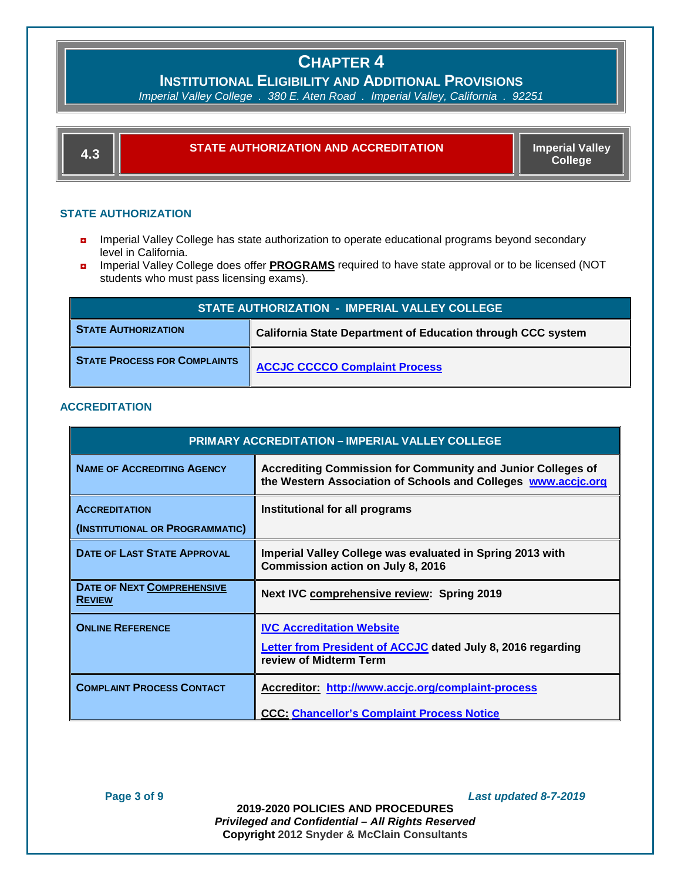**INSTITUTIONAL ELIGIBILITY AND ADDITIONAL PROVISIONS** 

*Imperial Valley College . 380 E. Aten Road . Imperial Valley, California .* 



### **STATE AUTHORIZATION**

- **n** Imperial Valley College has state authorization to operate educational programs beyond secondary level in California.
- ◘ Imperial Valley College does offer **PROGRAMS** required to have state approval or to be licensed (NOT students who must pass licensing exams).

| STATE AUTHORIZATION - IMPERIAL VALLEY COLLEGE |                                                                    |  |
|-----------------------------------------------|--------------------------------------------------------------------|--|
| <b>STATE AUTHORIZATION</b>                    | <b>California State Department of Education through CCC system</b> |  |
| <b>STATE PROCESS FOR COMPLAINTS</b>           | <b>ACCJC CCCCO Complaint Process</b>                               |  |

### **ACCREDITATION**

| <b>PRIMARY ACCREDITATION - IMPERIAL VALLEY COLLEGE</b>  |                                                                                                                                     |
|---------------------------------------------------------|-------------------------------------------------------------------------------------------------------------------------------------|
| <b>NAME OF ACCREDITING AGENCY</b>                       | <b>Accrediting Commission for Community and Junior Colleges of</b><br>the Western Association of Schools and Colleges www.accic.org |
| <b>ACCREDITATION</b><br>(INSTITUTIONAL OR PROGRAMMATIC) | Institutional for all programs                                                                                                      |
| <b>DATE OF LAST STATE APPROVAL</b>                      | Imperial Valley College was evaluated in Spring 2013 with<br>Commission action on July 8, 2016                                      |
| <b>DATE OF NEXT COMPREHENSIVE</b><br><b>REVIEW</b>      | Next IVC comprehensive review: Spring 2019                                                                                          |
| <b>ONLINE REFERENCE</b>                                 | <b>IVC Accreditation Website</b><br><b>Letter from President of ACCJC</b> dated July 8, 2016 regarding<br>review of Midterm Term    |
| <b>COMPLAINT PROCESS CONTACT</b>                        | Accreditor: http://www.accjc.org/complaint-process<br><b>CCC: Chancellor's Complaint Process Notice</b>                             |

**Page 3 of 9** *Last updated 8-7-2019*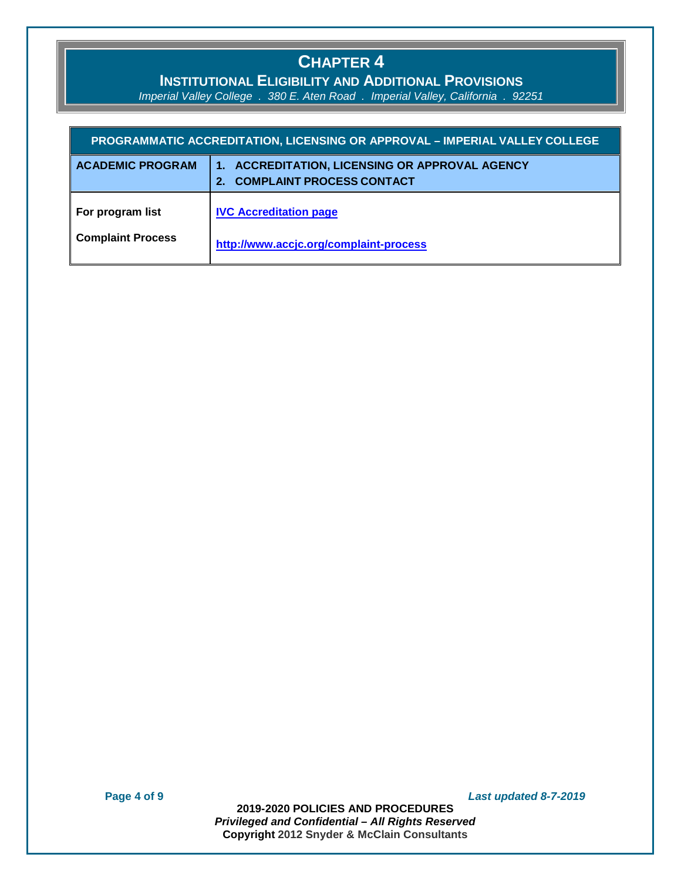### **INSTITUTIONAL ELIGIBILITY AND ADDITIONAL PROVISIONS**

*Imperial Valley College . 380 E. Aten Road . Imperial Valley, California . 92251*

| PROGRAMMATIC ACCREDITATION, LICENSING OR APPROVAL - IMPERIAL VALLEY COLLEGE |                                                                                        |  |
|-----------------------------------------------------------------------------|----------------------------------------------------------------------------------------|--|
| <b>ACADEMIC PROGRAM</b>                                                     | <b>ACCREDITATION, LICENSING OR APPROVAL AGENCY</b><br><b>COMPLAINT PROCESS CONTACT</b> |  |
| For program list                                                            | <b>IVC Accreditation page</b>                                                          |  |
| <b>Complaint Process</b>                                                    | http://www.accjc.org/complaint-process                                                 |  |

**Page 4 of 9** *Last updated 8-7-2019*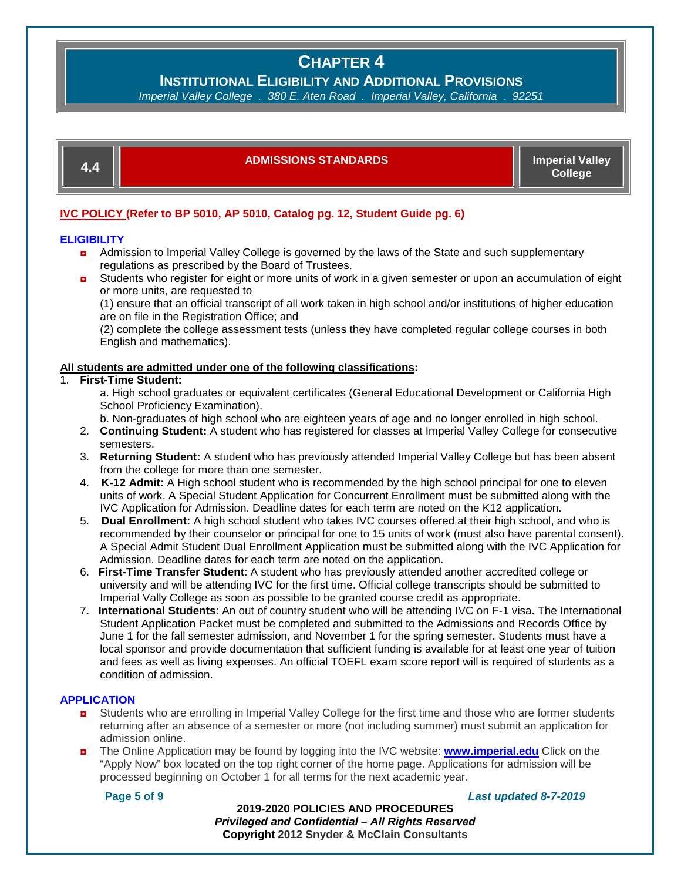**INSTITUTIONAL ELIGIBILITY AND ADDITIONAL PROVISIONS**<br>erial Valley College, 380 E. Aten Road, Imperial Valley. California, 92251

*Imperial Valley College . 380 E. Aten Road . Imperial Valley, California .* 



### **4.4 ADMISSIONS STANDARDS Imperial Valley**

**College**

### **IVC POLICY (Refer to BP 5010, AP 5010, Catalog pg. 12, Student Guide pg. 6)**

### **ELIGIBILITY**

- **D** Admission to Imperial Valley College is governed by the laws of the State and such supplementary regulations as prescribed by the Board of Trustees.
- **D** Students who register for eight or more units of work in a given semester or upon an accumulation of eight or more units, are requested to

(1) ensure that an official transcript of all work taken in high school and/or institutions of higher education are on file in the Registration Office; and

(2) complete the college assessment tests (unless they have completed regular college courses in both English and mathematics).

### **All students are admitted under one of the following classifications:**

### 1. **First-Time Student:**

a. High school graduates or equivalent certificates (General Educational Development or California High School Proficiency Examination).

b. Non-graduates of high school who are eighteen years of age and no longer enrolled in high school.

- 2. **Continuing Student:** A student who has registered for classes at Imperial Valley College for consecutive semesters.
- 3. **Returning Student:** A student who has previously attended Imperial Valley College but has been absent from the college for more than one semester.
- 4. **K-12 Admit:** A High school student who is recommended by the high school principal for one to eleven units of work. A Special Student Application for Concurrent Enrollment must be submitted along with the IVC Application for Admission. Deadline dates for each term are noted on the K12 application.
- 5. **Dual Enrollment:** A high school student who takes IVC courses offered at their high school, and who is recommended by their counselor or principal for one to 15 units of work (must also have parental consent). A Special Admit Student Dual Enrollment Application must be submitted along with the IVC Application for Admission. Deadline dates for each term are noted on the application.
- 6. **First-Time Transfer Student**: A student who has previously attended another accredited college or university and will be attending IVC for the first time. Official college transcripts should be submitted to Imperial Vally College as soon as possible to be granted course credit as appropriate.
- 7**. International Students**: An out of country student who will be attending IVC on F-1 visa. The International Student Application Packet must be completed and submitted to the Admissions and Records Office by June 1 for the fall semester admission, and November 1 for the spring semester. Students must have a local sponsor and provide documentation that sufficient funding is available for at least one year of tuition and fees as well as living expenses. An official TOEFL exam score report will is required of students as a condition of admission.

### **APPLICATION**

- **D** Students who are enrolling in Imperial Valley College for the first time and those who are former students returning after an absence of a semester or more (not including summer) must submit an application for admission online.
- ◘ The Online Application may be found by logging into the IVC website: **[www.imperial.edu](http://www.imperial.edu/)** Click on the "Apply Now" box located on the top right corner of the home page. Applications for admission will be processed beginning on October 1 for all terms for the next academic year.

### **Page 5 of 9** *Last updated 8-7-2019*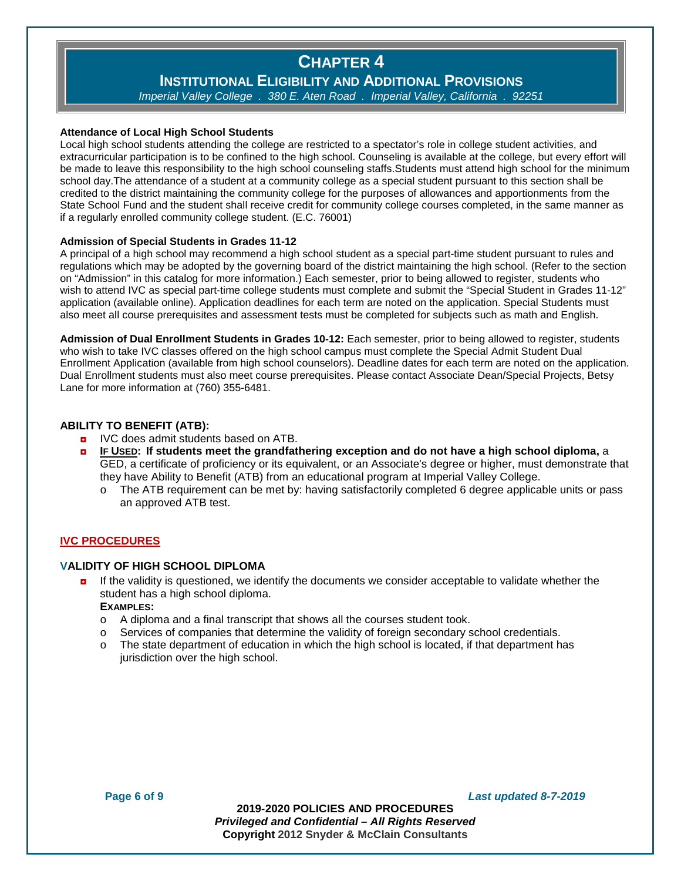# **INSTITUTIONAL ELIGIBILITY AND ADDITIONAL PROVISIONS**<br>erial Valley College . 380 E. Aten Road . Imperial Valley. California . 92251

*Imperial Valley College . 380 E. Aten Road . Imperial Valley, California .* 

### **Attendance of Local High School Students**

Local high school students attending the college are restricted to a spectator's role in college student activities, and extracurricular participation is to be confined to the high school. Counseling is available at the college, but every effort will be made to leave this responsibility to the high school counseling staffs.Students must attend high school for the minimum school day.The attendance of a student at a community college as a special student pursuant to this section shall be credited to the district maintaining the community college for the purposes of allowances and apportionments from the State School Fund and the student shall receive credit for community college courses completed, in the same manner as if a regularly enrolled community college student. (E.C. 76001)

### **Admission of Special Students in Grades 11-12**

A principal of a high school may recommend a high school student as a special part-time student pursuant to rules and regulations which may be adopted by the governing board of the district maintaining the high school. (Refer to the section on "Admission" in this catalog for more information.) Each semester, prior to being allowed to register, students who wish to attend IVC as special part-time college students must complete and submit the "Special Student in Grades 11-12" application (available online). Application deadlines for each term are noted on the application. Special Students must also meet all course prerequisites and assessment tests must be completed for subjects such as math and English.

**Admission of Dual Enrollment Students in Grades 10-12:** Each semester, prior to being allowed to register, students who wish to take IVC classes offered on the high school campus must complete the Special Admit Student Dual Enrollment Application (available from high school counselors). Deadline dates for each term are noted on the application. Dual Enrollment students must also meet course prerequisites. Please contact Associate Dean/Special Projects, Betsy Lane for more information at (760) 355-6481.

### **ABILITY TO BENEFIT (ATB):**

- **p** IVC does admit students based on ATB.
- ◘ **IF USED: If students meet the grandfathering exception and do not have a high school diploma,** a GED, a certificate of proficiency or its equivalent, or an Associate's degree or higher, must demonstrate that they have Ability to Benefit (ATB) from an educational program at Imperial Valley College.
	- o The ATB requirement can be met by: having satisfactorily completed 6 degree applicable units or pass an approved ATB test.

### **IVC PROCEDURES**

### **VALIDITY OF HIGH SCHOOL DIPLOMA**

**n** If the validity is questioned, we identify the documents we consider acceptable to validate whether the student has a high school diploma.

### **EXAMPLES:**

- $\circ$  A diploma and a final transcript that shows all the courses student took.
- o Services of companies that determine the validity of foreign secondary school credentials.
- The state department of education in which the high school is located, if that department has jurisdiction over the high school.

**Page 6 of 9** *Last updated 8-7-2019*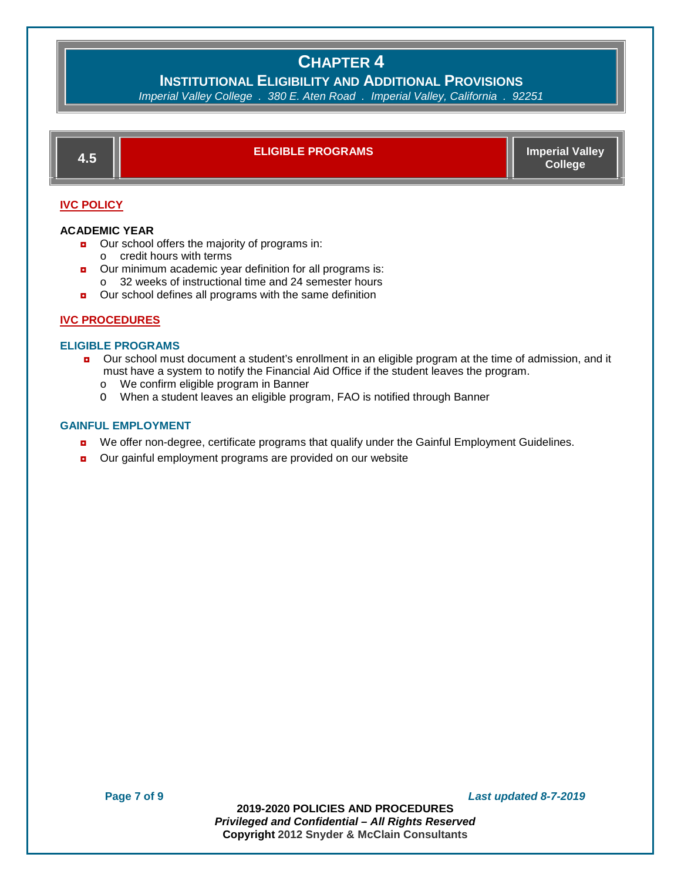**INSTITUTIONAL ELIGIBILITY AND ADDITIONAL PROVISIONS**<br>erial Valley College , 380 E. Aten Road , Imperial Valley, California, 92251

*Imperial Valley College . 380 E. Aten Road . Imperial Valley, California .* 



### **IVC POLICY**

#### **ACADEMIC YEAR**

- Our school offers the majority of programs in:
	- o credit hours with terms
- **D** Our minimum academic year definition for all programs is:
	- o 32 weeks of instructional time and 24 semester hours
- **D** Our school defines all programs with the same definition

### **IVC PROCEDURES**

### **ELIGIBLE PROGRAMS**

- ◘ Our school must document a student's enrollment in an eligible program at the time of admission, and it must have a system to notify the Financial Aid Office if the student leaves the program.
	- o We confirm eligible program in Banner
	- O When a student leaves an eligible program, FAO is notified through Banner

#### **GAINFUL EMPLOYMENT**

- **D** We offer non-degree, certificate programs that qualify under the Gainful Employment Guidelines.
- **D** Our gainful employment programs are provided on our website

**Page 7 of 9** *Last updated 8-7-2019*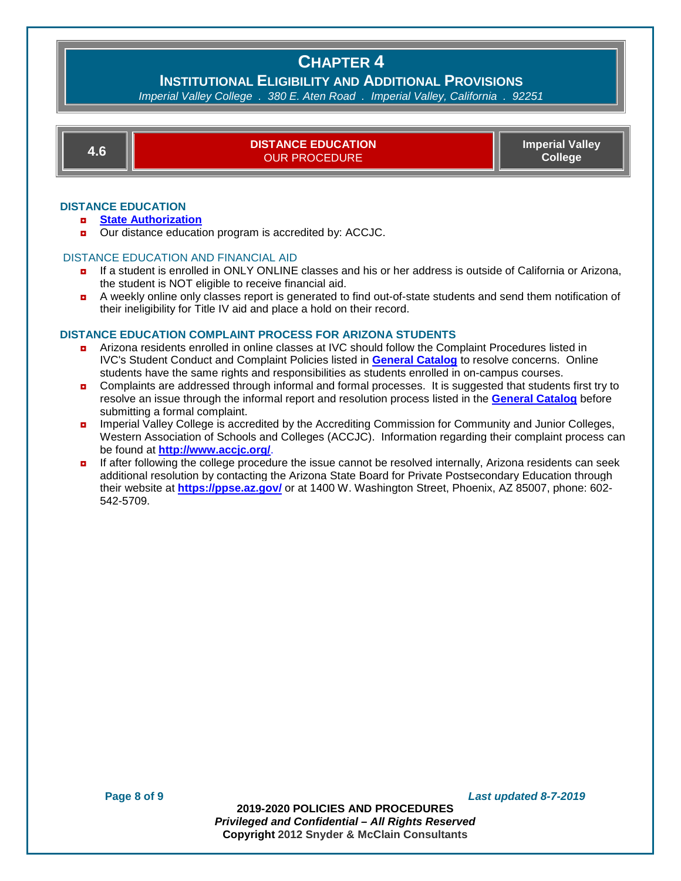# **INSTITUTIONAL ELIGIBILITY AND ADDITIONAL PROVISIONS**

*Imperial Valley College . 380 E. Aten Road . Imperial Valley, California .* 

**4.6 DISTANCE EDUCATION**  OUR PROCEDURE **Imperial Valley College**

### **DISTANCE EDUCATION**

- ◘ **[State Authorization](http://www.imperial.edu/courses-and-programs/distance-education/for-students/state-authorization/)**
- Our distance education program is accredited by: ACCJC.

#### DISTANCE EDUCATION AND FINANCIAL AID

- **n** If a student is enrolled in ONLY ONLINE classes and his or her address is outside of California or Arizona, the student is NOT eligible to receive financial aid.
- ◘ A weekly online only classes report is generated to find out-of-state students and send them notification of their ineligibility for Title IV aid and place a hold on their record.

#### **DISTANCE EDUCATION COMPLAINT PROCESS FOR ARIZONA STUDENTS**

- ◘ Arizona residents enrolled in online classes at IVC should follow the Complaint Procedures listed in IVC's Student Conduct and Complaint Policies listed in **[General](http://www.imperial.edu/courses-and-programs/catalogs-and-schedules/#catalogs_section) Catalog** to resolve concerns. Online students have the same rights and responsibilities as students enrolled in on-campus courses.
- Complaints are addressed through informal and formal processes. It is suggested that students first try to resolve an issue through the informal report and resolution process listed in the **[General](http://www.imperial.edu/courses-and-programs/catalogs-and-schedules/#catalogs_section) Catalog** before submitting a formal complaint.
- **n** Imperial Valley College is accredited by the Accrediting Commission for Community and Junior Colleges, Western Association of Schools and Colleges (ACCJC). Information regarding their complaint process can be found at **<http://www.accjc.org/>**.
- If after following the college procedure the issue cannot be resolved internally, Arizona residents can seek additional resolution by contacting the Arizona State Board for Private Postsecondary Education through their website at **<https://ppse.az.gov/>** or at 1400 W. Washington Street, Phoenix, AZ 85007, phone: 602- 542-5709.

**Page 8 of 9** *Last updated 8-7-2019*